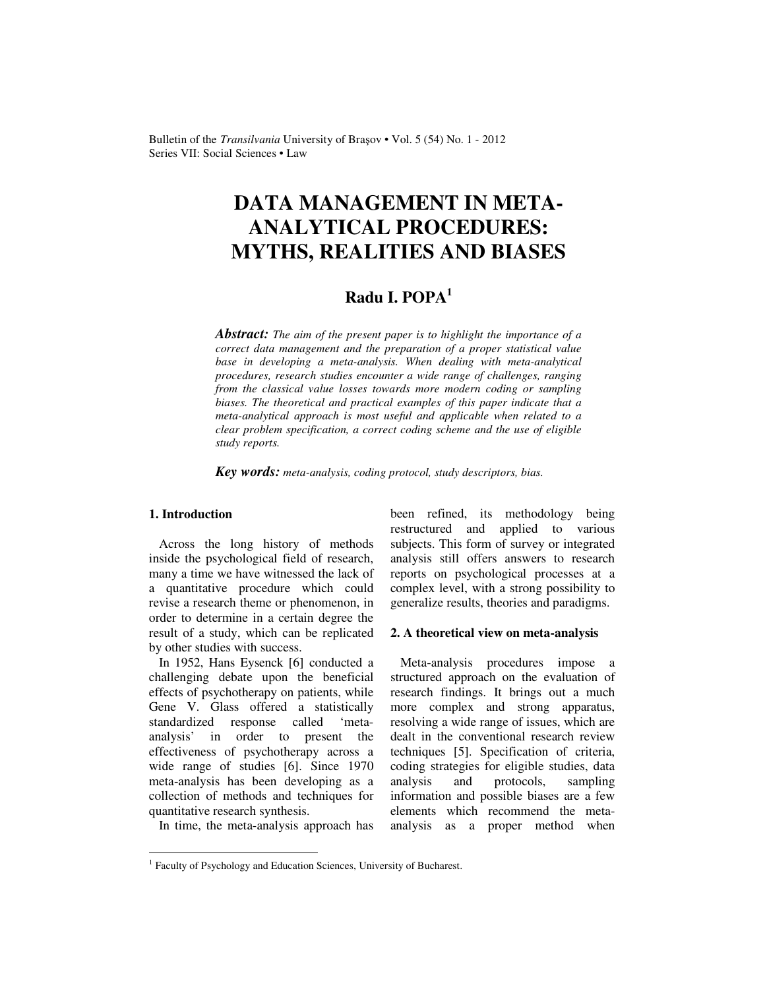Bulletin of the *Transilvania* University of Braşov • Vol. 5 (54) No. 1 - 2012 Series VII: Social Sciences • Law

# **DATA MANAGEMENT IN META-ANALYTICAL PROCEDURES: MYTHS, REALITIES AND BIASES**

# **Radu I. POPA<sup>1</sup>**

*Abstract: The aim of the present paper is to highlight the importance of a correct data management and the preparation of a proper statistical value base in developing a meta-analysis. When dealing with meta-analytical procedures, research studies encounter a wide range of challenges, ranging from the classical value losses towards more modern coding or sampling biases. The theoretical and practical examples of this paper indicate that a meta-analytical approach is most useful and applicable when related to a clear problem specification, a correct coding scheme and the use of eligible study reports.* 

*Key words: meta-analysis, coding protocol, study descriptors, bias.*

# **1. Introduction**

Across the long history of methods inside the psychological field of research, many a time we have witnessed the lack of a quantitative procedure which could revise a research theme or phenomenon, in order to determine in a certain degree the result of a study, which can be replicated by other studies with success.

In 1952, Hans Eysenck [6] conducted a challenging debate upon the beneficial effects of psychotherapy on patients, while Gene V. Glass offered a statistically standardized response called 'metaanalysis' in order to present the effectiveness of psychotherapy across a wide range of studies [6]. Since 1970 meta-analysis has been developing as a collection of methods and techniques for quantitative research synthesis.

In time, the meta-analysis approach has

been refined, its methodology being restructured and applied to various subjects. This form of survey or integrated analysis still offers answers to research reports on psychological processes at a complex level, with a strong possibility to generalize results, theories and paradigms.

#### **2. A theoretical view on meta-analysis**

Meta-analysis procedures impose a structured approach on the evaluation of research findings. It brings out a much more complex and strong apparatus, resolving a wide range of issues, which are dealt in the conventional research review techniques [5]. Specification of criteria, coding strategies for eligible studies, data analysis and protocols, sampling information and possible biases are a few elements which recommend the metaanalysis as a proper method when

 1 Faculty of Psychology and Education Sciences, University of Bucharest.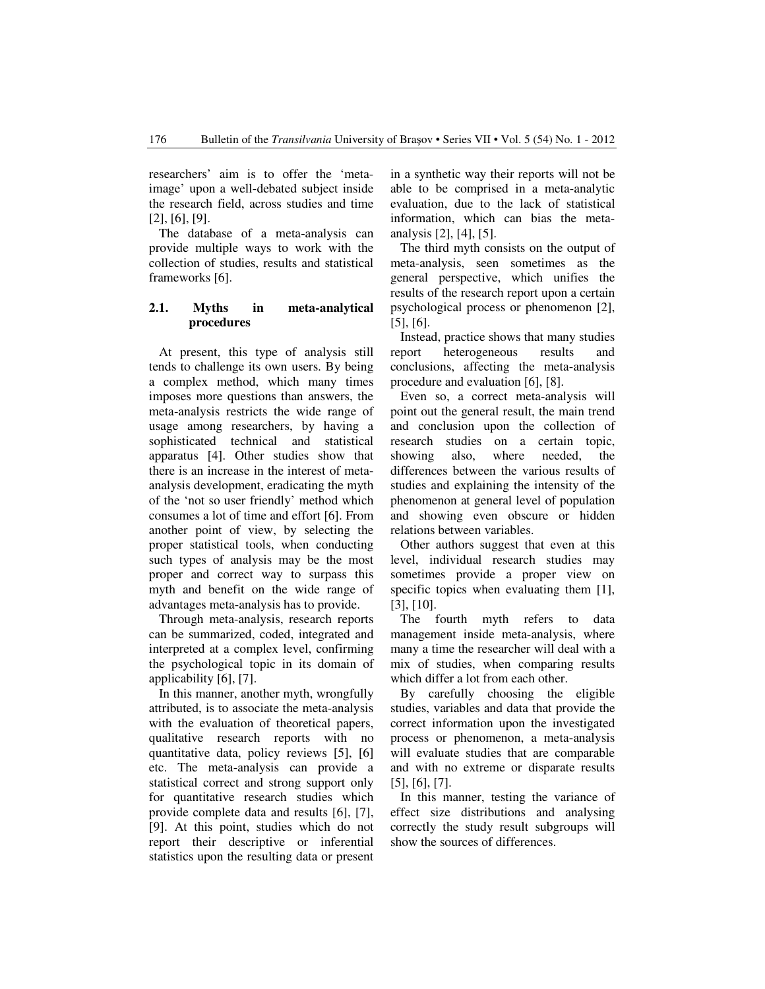researchers' aim is to offer the 'metaimage' upon a well-debated subject inside the research field, across studies and time [2], [6], [9].

The database of a meta-analysis can provide multiple ways to work with the collection of studies, results and statistical frameworks [6].

# **2.1. Myths in meta-analytical procedures**

At present, this type of analysis still tends to challenge its own users. By being a complex method, which many times imposes more questions than answers, the meta-analysis restricts the wide range of usage among researchers, by having a sophisticated technical and statistical apparatus [4]. Other studies show that there is an increase in the interest of metaanalysis development, eradicating the myth of the 'not so user friendly' method which consumes a lot of time and effort [6]. From another point of view, by selecting the proper statistical tools, when conducting such types of analysis may be the most proper and correct way to surpass this myth and benefit on the wide range of advantages meta-analysis has to provide.

Through meta-analysis, research reports can be summarized, coded, integrated and interpreted at a complex level, confirming the psychological topic in its domain of applicability [6], [7].

In this manner, another myth, wrongfully attributed, is to associate the meta-analysis with the evaluation of theoretical papers, qualitative research reports with no quantitative data, policy reviews [5], [6] etc. The meta-analysis can provide a statistical correct and strong support only for quantitative research studies which provide complete data and results [6], [7], [9]. At this point, studies which do not report their descriptive or inferential statistics upon the resulting data or present in a synthetic way their reports will not be able to be comprised in a meta-analytic evaluation, due to the lack of statistical information, which can bias the metaanalysis [2], [4], [5].

The third myth consists on the output of meta-analysis, seen sometimes as the general perspective, which unifies the results of the research report upon a certain psychological process or phenomenon [2], [5], [6].

Instead, practice shows that many studies report heterogeneous results and conclusions, affecting the meta-analysis procedure and evaluation [6], [8].

Even so, a correct meta-analysis will point out the general result, the main trend and conclusion upon the collection of research studies on a certain topic, showing also, where needed, the differences between the various results of studies and explaining the intensity of the phenomenon at general level of population and showing even obscure or hidden relations between variables.

Other authors suggest that even at this level, individual research studies may sometimes provide a proper view on specific topics when evaluating them [1], [3], [10].

The fourth myth refers to data management inside meta-analysis, where many a time the researcher will deal with a mix of studies, when comparing results which differ a lot from each other.

By carefully choosing the eligible studies, variables and data that provide the correct information upon the investigated process or phenomenon, a meta-analysis will evaluate studies that are comparable and with no extreme or disparate results [5], [6], [7].

In this manner, testing the variance of effect size distributions and analysing correctly the study result subgroups will show the sources of differences.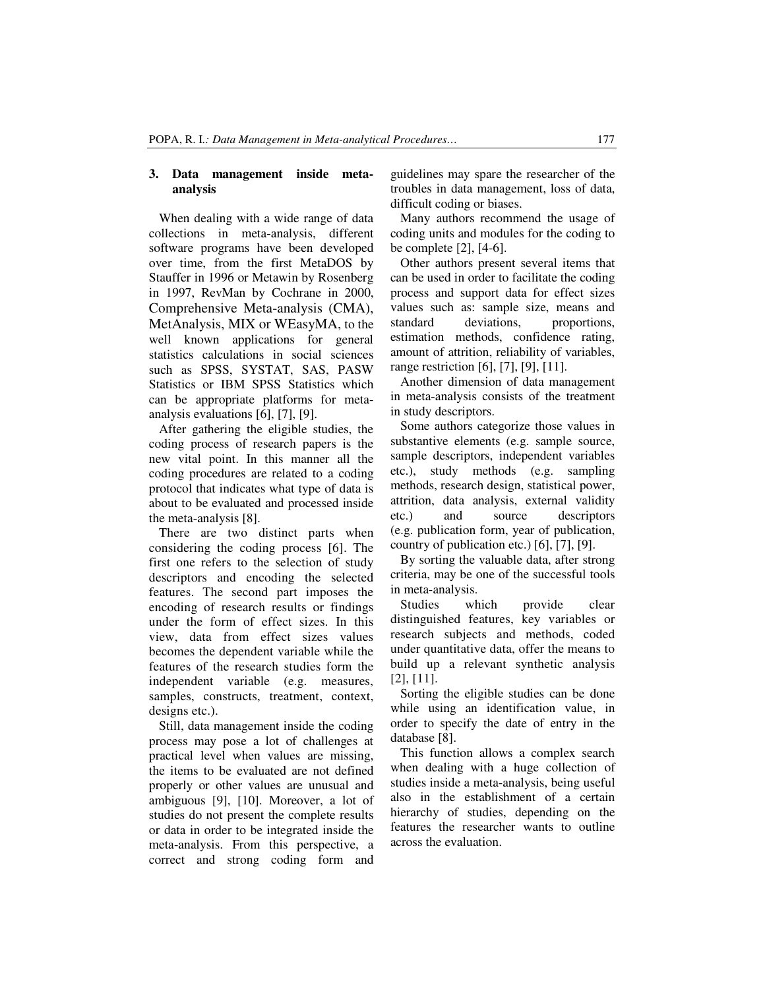### **3. Data management inside metaanalysis**

When dealing with a wide range of data collections in meta-analysis, different software programs have been developed over time, from the first MetaDOS by Stauffer in 1996 or Metawin by Rosenberg in 1997, RevMan by Cochrane in 2000, Comprehensive Meta-analysis (CMA), MetAnalysis, MIX or WEasyMA, to the well known applications for general statistics calculations in social sciences such as SPSS, SYSTAT, SAS, PASW Statistics or IBM SPSS Statistics which can be appropriate platforms for metaanalysis evaluations [6], [7], [9].

After gathering the eligible studies, the coding process of research papers is the new vital point. In this manner all the coding procedures are related to a coding protocol that indicates what type of data is about to be evaluated and processed inside the meta-analysis [8].

There are two distinct parts when considering the coding process [6]. The first one refers to the selection of study descriptors and encoding the selected features. The second part imposes the encoding of research results or findings under the form of effect sizes. In this view, data from effect sizes values becomes the dependent variable while the features of the research studies form the independent variable (e.g. measures, samples, constructs, treatment, context, designs etc.).

Still, data management inside the coding process may pose a lot of challenges at practical level when values are missing, the items to be evaluated are not defined properly or other values are unusual and ambiguous [9], [10]. Moreover, a lot of studies do not present the complete results or data in order to be integrated inside the meta-analysis. From this perspective, a correct and strong coding form and guidelines may spare the researcher of the troubles in data management, loss of data, difficult coding or biases.

Many authors recommend the usage of coding units and modules for the coding to be complete [2], [4-6].

Other authors present several items that can be used in order to facilitate the coding process and support data for effect sizes values such as: sample size, means and standard deviations, proportions, estimation methods, confidence rating, amount of attrition, reliability of variables, range restriction [6], [7], [9], [11].

Another dimension of data management in meta-analysis consists of the treatment in study descriptors.

Some authors categorize those values in substantive elements (e.g. sample source, sample descriptors, independent variables etc.), study methods (e.g. sampling methods, research design, statistical power, attrition, data analysis, external validity etc.) and source descriptors (e.g. publication form, year of publication, country of publication etc.) [6], [7], [9].

By sorting the valuable data, after strong criteria, may be one of the successful tools in meta-analysis.

Studies which provide clear distinguished features, key variables or research subjects and methods, coded under quantitative data, offer the means to build up a relevant synthetic analysis [2], [11].

Sorting the eligible studies can be done while using an identification value, in order to specify the date of entry in the database [8].

This function allows a complex search when dealing with a huge collection of studies inside a meta-analysis, being useful also in the establishment of a certain hierarchy of studies, depending on the features the researcher wants to outline across the evaluation.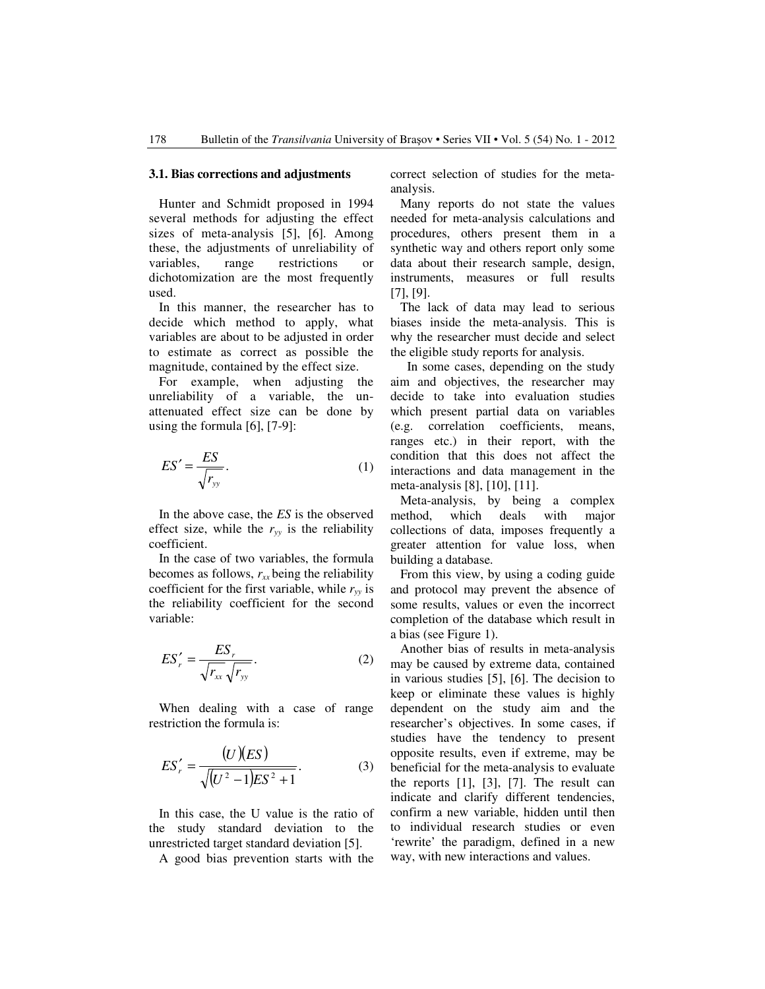#### **3.1. Bias corrections and adjustments**

Hunter and Schmidt proposed in 1994 several methods for adjusting the effect sizes of meta-analysis [5], [6]. Among these, the adjustments of unreliability of variables, range restrictions or dichotomization are the most frequently used.

In this manner, the researcher has to decide which method to apply, what variables are about to be adjusted in order to estimate as correct as possible the magnitude, contained by the effect size.

For example, when adjusting the unreliability of a variable, the unattenuated effect size can be done by using the formula [6], [7-9]:

$$
ES' = \frac{ES}{\sqrt{r_{yy}}}.
$$
 (1)

In the above case, the *ES* is the observed effect size, while the  $r_{yy}$  is the reliability coefficient.

In the case of two variables, the formula becomes as follows,  $r_{xx}$  being the reliability coefficient for the first variable, while  $r_w$  is the reliability coefficient for the second variable:

$$
ES'_{r} = \frac{ES_{r}}{\sqrt{r_{xx}}\sqrt{r_{yy}}}.
$$
 (2)

 When dealing with a case of range restriction the formula is:

$$
ES'_{r} = \frac{(U)(ES)}{\sqrt{(U^{2} - 1)ES^{2} + 1}}.
$$
 (3)

 In this case, the U value is the ratio of the study standard deviation to the unrestricted target standard deviation [5].

A good bias prevention starts with the

correct selection of studies for the metaanalysis.

 Many reports do not state the values needed for meta-analysis calculations and procedures, others present them in a synthetic way and others report only some data about their research sample, design, instruments, measures or full results [7], [9].

 The lack of data may lead to serious biases inside the meta-analysis. This is why the researcher must decide and select the eligible study reports for analysis.

 In some cases, depending on the study aim and objectives, the researcher may decide to take into evaluation studies which present partial data on variables (e.g. correlation coefficients, means, ranges etc.) in their report, with the condition that this does not affect the interactions and data management in the meta-analysis [8], [10], [11].

 Meta-analysis, by being a complex method, which deals with major collections of data, imposes frequently a greater attention for value loss, when building a database.

 From this view, by using a coding guide and protocol may prevent the absence of some results, values or even the incorrect completion of the database which result in a bias (see Figure 1).

 Another bias of results in meta-analysis may be caused by extreme data, contained in various studies [5], [6]. The decision to keep or eliminate these values is highly dependent on the study aim and the researcher's objectives. In some cases, if studies have the tendency to present opposite results, even if extreme, may be beneficial for the meta-analysis to evaluate the reports [1], [3], [7]. The result can indicate and clarify different tendencies, confirm a new variable, hidden until then to individual research studies or even 'rewrite' the paradigm, defined in a new way, with new interactions and values.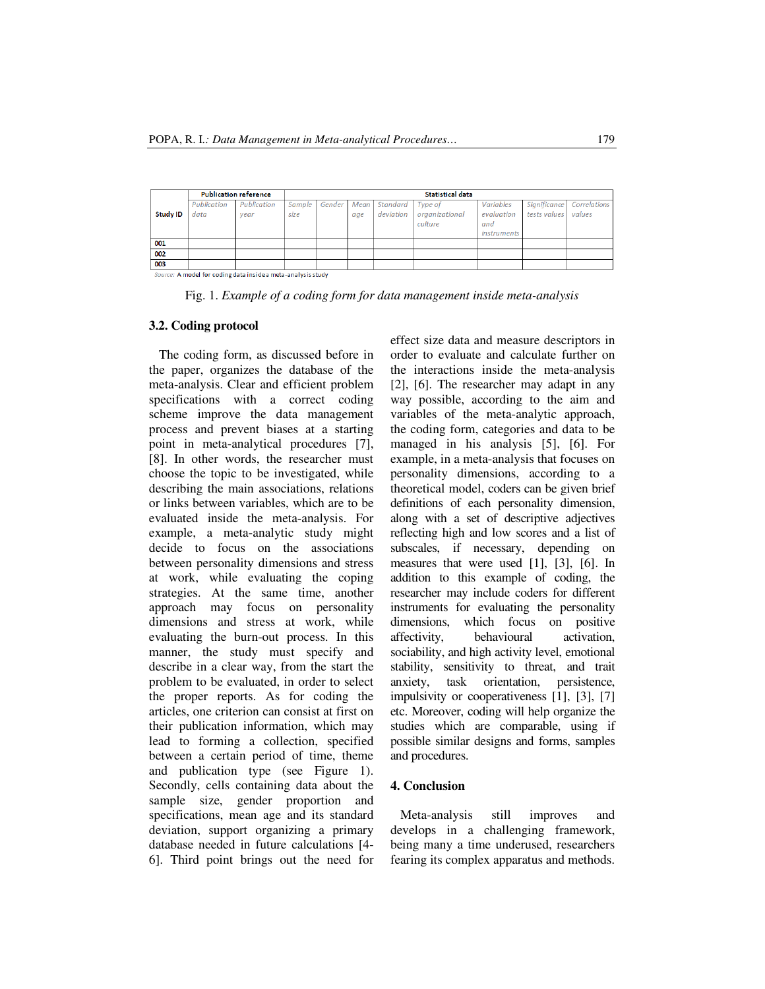|                                                              | <b>Publication reference</b> |             | Statistical data |        |      |           |                |                    |              |              |
|--------------------------------------------------------------|------------------------------|-------------|------------------|--------|------|-----------|----------------|--------------------|--------------|--------------|
|                                                              | Publication                  | Publication | Sample           | Gender | Mean | Standard  | Type of        | Variables          | Significance | Correlations |
| <b>Study ID</b>                                              | data                         | vear        | size             |        | age  | deviation | organizational | evaluation         | tests values | values       |
|                                                              |                              |             |                  |        |      |           | culture        | and                |              |              |
|                                                              |                              |             |                  |        |      |           |                | <i>instruments</i> |              |              |
| 001                                                          |                              |             |                  |        |      |           |                |                    |              |              |
| 002                                                          |                              |             |                  |        |      |           |                |                    |              |              |
| 003                                                          |                              |             |                  |        |      |           |                |                    |              |              |
| Source: A model for coding data inside a meta-analysis study |                              |             |                  |        |      |           |                |                    |              |              |

Fig. 1. *Example of a coding form for data management inside meta-analysis*

#### **3.2. Coding protocol**

The coding form, as discussed before in the paper, organizes the database of the meta-analysis. Clear and efficient problem specifications with a correct coding scheme improve the data management process and prevent biases at a starting point in meta-analytical procedures [7], [8]. In other words, the researcher must choose the topic to be investigated, while describing the main associations, relations or links between variables, which are to be evaluated inside the meta-analysis. For example, a meta-analytic study might decide to focus on the associations between personality dimensions and stress at work, while evaluating the coping strategies. At the same time, another approach may focus on personality dimensions and stress at work, while evaluating the burn-out process. In this manner, the study must specify and describe in a clear way, from the start the problem to be evaluated, in order to select the proper reports. As for coding the articles, one criterion can consist at first on their publication information, which may lead to forming a collection, specified between a certain period of time, theme and publication type (see Figure 1). Secondly, cells containing data about the sample size, gender proportion and specifications, mean age and its standard deviation, support organizing a primary database needed in future calculations [4- 6]. Third point brings out the need for effect size data and measure descriptors in order to evaluate and calculate further on the interactions inside the meta-analysis [2], [6]. The researcher may adapt in any way possible, according to the aim and variables of the meta-analytic approach, the coding form, categories and data to be managed in his analysis [5], [6]. For example, in a meta-analysis that focuses on personality dimensions, according to a theoretical model, coders can be given brief definitions of each personality dimension, along with a set of descriptive adjectives reflecting high and low scores and a list of subscales, if necessary, depending on measures that were used [1], [3], [6]. In addition to this example of coding, the researcher may include coders for different instruments for evaluating the personality dimensions, which focus on positive affectivity, behavioural activation, sociability, and high activity level, emotional stability, sensitivity to threat, and trait anxiety, task orientation, persistence, impulsivity or cooperativeness [1], [3], [7] etc. Moreover, coding will help organize the studies which are comparable, using if possible similar designs and forms, samples and procedures.

#### **4. Conclusion**

Meta-analysis still improves and develops in a challenging framework, being many a time underused, researchers fearing its complex apparatus and methods.